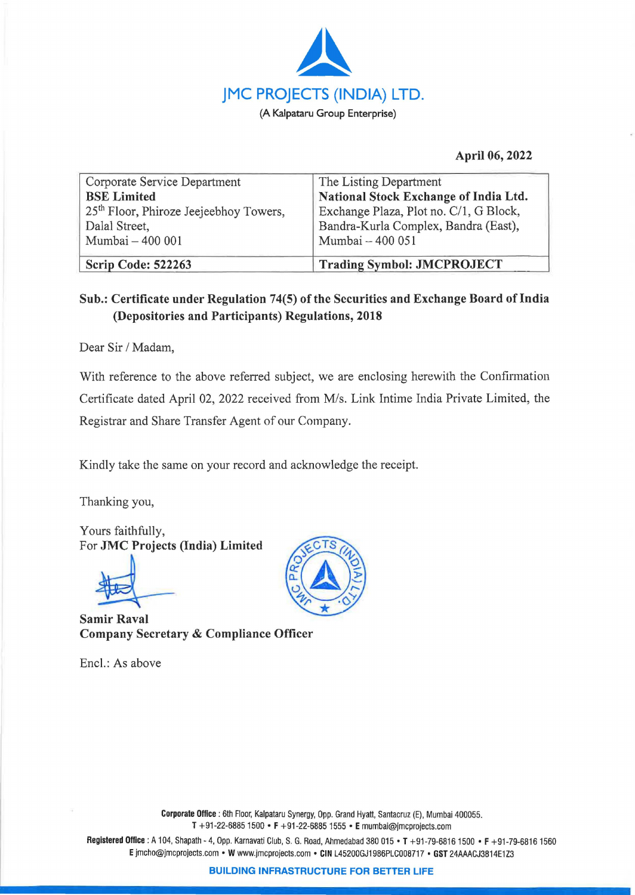

## **April 06, 2022**

| Scrip Code: 522263                                 | <b>Trading Symbol: JMCPROJECT</b>      |
|----------------------------------------------------|----------------------------------------|
| Mumbai - 400 001                                   | Mumbai - 400 051                       |
| Dalal Street,                                      | Bandra-Kurla Complex, Bandra (East),   |
| 25 <sup>th</sup> Floor, Phiroze Jeejeebhoy Towers, | Exchange Plaza, Plot no. C/1, G Block, |
| <b>BSE</b> Limited                                 | National Stock Exchange of India Ltd.  |
| Corporate Service Department                       | The Listing Department                 |

## **Sub.: Certificate under Regulation 74(5) of the Securities and Exchange Board oflndia (Depositories and Participants) Regulations, 2018**

Dear Sir/ Madam,

With reference to the above referred subject, we are enclosing herewith the Confirmation Certificate dated April 02, 2022 received from M/s. Link Intime India Private Limited, the Registrar and Share Transfer Agent of our Company.

Kindly take the same on your record and acknowledge the receipt.

Thanking you,

Yours faithfully, For **,JMC Projects (India) Limited** 

**Samir Raval Company Secretary** & **Compliance Officer** 

Encl.: As above



**Registered Office:** A 104, Shapath - 4, Opp. Karnavati Club, S. G. Road, Ahmadabad 380 015 • **T** +91-79-68161500 • **F** +91-79-68161560 **E** jmcho@jmcprojects.com • **W** www.jmcprojects.com • **CIN** L45200GJ1986PLC008717 • **GST** 24AAACJ3814E1Z3

**BUILDING INFRASTRUCTURE FOR BETTER LIFE**